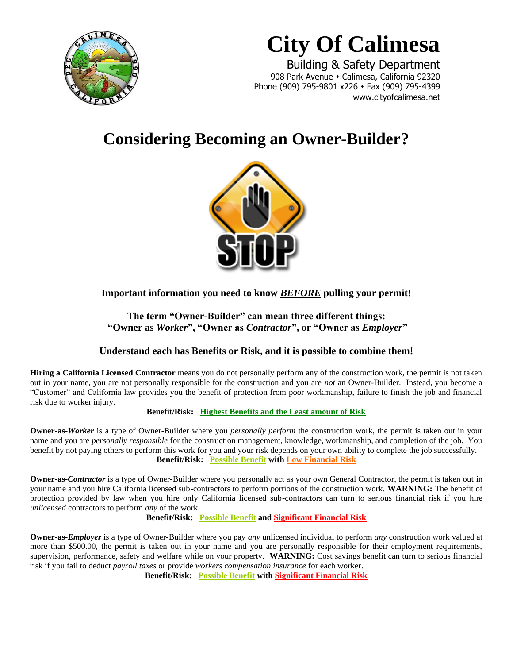

# **City Of Calimesa**

 Building & Safety Department 908 Park Avenue • Calimesa, California 92320 Phone (909) 795-9801 x226 ⬧ Fax (909) 795-4399 www.cityofcalimesa.net

# **Considering Becoming an Owner-Builder?**



# **Important information you need to know** *BEFORE* **pulling your permit!**

## **The term "Owner-Builder" can mean three different things: "Owner as** *Worker***", "Owner as** *Contractor***", or "Owner as** *Employer***"**

# **Understand each has Benefits or Risk, and it is possible to combine them!**

**Hiring a California Licensed Contractor** means you do not personally perform any of the construction work, the permit is not taken out in your name, you are not personally responsible for the construction and you are *not* an Owner-Builder. Instead, you become a "Customer" and California law provides you the benefit of protection from poor workmanship, failure to finish the job and financial risk due to worker injury.

#### **Benefit/Risk: Highest Benefits and the Least amount of Risk**

**Owner-as-***Worker* is a type of Owner-Builder where you *personally perform* the construction work, the permit is taken out in your name and you are *personally responsible* for the construction management, knowledge, workmanship, and completion of the job. You benefit by not paying others to perform this work for you and your risk depends on your own ability to complete the job successfully. **Benefit/Risk: Possible Benefit with Low Financial Risk**

**Owner-as-***Contractor* is a type of Owner-Builder where you personally act as your own General Contractor, the permit is taken out in your name and you hire California licensed sub-contractors to perform portions of the construction work. **WARNING:** The benefit of protection provided by law when you hire only California licensed sub-contractors can turn to serious financial risk if you hire *unlicensed* contractors to perform *any* of the work.

**Benefit/Risk: Possible Benefit and Significant Financial Risk**

**Owner-as-***Employer* is a type of Owner-Builder where you pay *any* unlicensed individual to perform *any* construction work valued at more than \$500.00, the permit is taken out in your name and you are personally responsible for their employment requirements, supervision, performance, safety and welfare while on your property. **WARNING:** Cost savings benefit can turn to serious financial risk if you fail to deduct *payroll taxes* or provide *workers compensation insurance* for each worker.

**Benefit/Risk: Possible Benefit with Significant Financial Risk**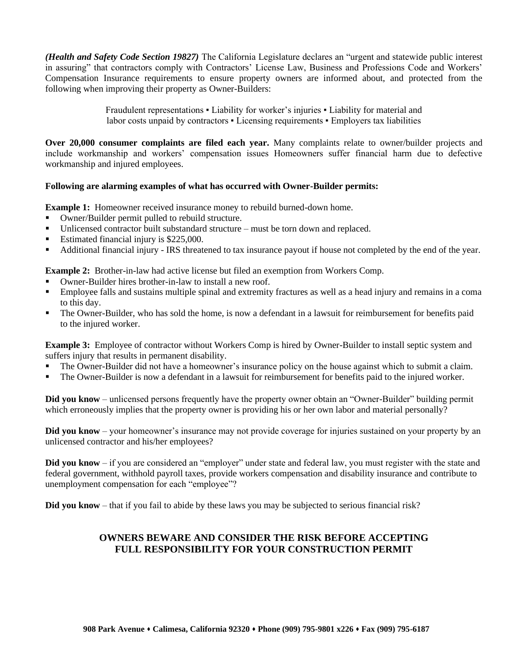*(Health and Safety Code Section 19827)* The California Legislature declares an "urgent and statewide public interest in assuring" that contractors comply with Contractors' License Law, Business and Professions Code and Workers' Compensation Insurance requirements to ensure property owners are informed about, and protected from the following when improving their property as Owner-Builders:

> Fraudulent representations ▪ Liability for worker's injuries ▪ Liability for material and labor costs unpaid by contractors • Licensing requirements • Employers tax liabilities

**Over 20,000 consumer complaints are filed each year.** Many complaints relate to owner/builder projects and include workmanship and workers' compensation issues Homeowners suffer financial harm due to defective workmanship and injured employees.

#### **Following are alarming examples of what has occurred with Owner-Builder permits:**

**Example 1:** Homeowner received insurance money to rebuild burned-down home.

- Owner/Builder permit pulled to rebuild structure.
- Unlicensed contractor built substandard structure must be torn down and replaced.
- Estimated financial injury is \$225,000.
- Additional financial injury IRS threatened to tax insurance payout if house not completed by the end of the year.

**Example 2:** Brother-in-law had active license but filed an exemption from Workers Comp.

- Owner-Builder hires brother-in-law to install a new roof.
- Employee falls and sustains multiple spinal and extremity fractures as well as a head injury and remains in a coma to this day.
- The Owner-Builder, who has sold the home, is now a defendant in a lawsuit for reimbursement for benefits paid to the injured worker.

**Example 3:** Employee of contractor without Workers Comp is hired by Owner-Builder to install septic system and suffers injury that results in permanent disability.

- The Owner-Builder did not have a homeowner's insurance policy on the house against which to submit a claim.
- The Owner-Builder is now a defendant in a lawsuit for reimbursement for benefits paid to the injured worker.

**Did you know** – unlicensed persons frequently have the property owner obtain an "Owner-Builder" building permit which erroneously implies that the property owner is providing his or her own labor and material personally?

**Did you know** – your homeowner's insurance may not provide coverage for injuries sustained on your property by an unlicensed contractor and his/her employees?

**Did you know** – if you are considered an "employer" under state and federal law, you must register with the state and federal government, withhold payroll taxes, provide workers compensation and disability insurance and contribute to unemployment compensation for each "employee"?

**Did you know** – that if you fail to abide by these laws you may be subjected to serious financial risk?

# **OWNERS BEWARE AND CONSIDER THE RISK BEFORE ACCEPTING FULL RESPONSIBILITY FOR YOUR CONSTRUCTION PERMIT**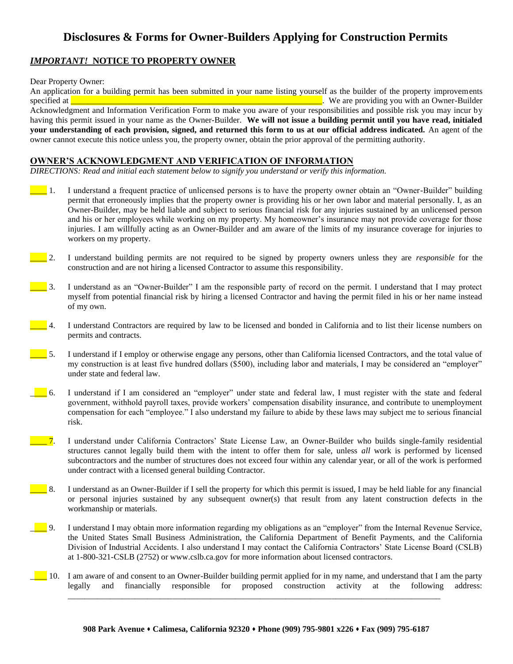# **Disclosures & Forms for Owner-Builders Applying for Construction Permits**

## *IMPORTANT!* **NOTICE TO PROPERTY OWNER**

Dear Property Owner:

An application for a building permit has been submitted in your name listing yourself as the builder of the property improvements specified at  $\frac{1}{\sqrt{2}}$  are providing you with an Owner-Builder Acknowledgment and Information Verification Form to make you aware of your responsibilities and possible risk you may incur by having this permit issued in your name as the Owner-Builder. **We will not issue a building permit until you have read, initialed your understanding of each provision, signed, and returned this form to us at our official address indicated.** An agent of the owner cannot execute this notice unless you, the property owner, obtain the prior approval of the permitting authority.

#### **OWNER'S ACKNOWLEDGMENT AND VERIFICATION OF INFORMATION**

*DIRECTIONS: Read and initial each statement below to signify you understand or verify this information.*

- <sup>1</sup> 1. I understand a frequent practice of unlicensed persons is to have the property owner obtain an "Owner-Builder" building permit that erroneously implies that the property owner is providing his or her own labor and material personally. I, as an Owner-Builder, may be held liable and subject to serious financial risk for any injuries sustained by an unlicensed person and his or her employees while working on my property. My homeowner's insurance may not provide coverage for those injuries. I am willfully acting as an Owner-Builder and am aware of the limits of my insurance coverage for injuries to workers on my property.
- \_\_\_\_ 2. I understand building permits are not required to be signed by property owners unless they are *responsible* for the construction and are not hiring a licensed Contractor to assume this responsibility.
- \_\_\_\_ 3. I understand as an "Owner-Builder" I am the responsible party of record on the permit. I understand that I may protect myself from potential financial risk by hiring a licensed Contractor and having the permit filed in his or her name instead of my own.
- \_\_\_\_ 4. I understand Contractors are required by law to be licensed and bonded in California and to list their license numbers on permits and contracts.
- \_\_\_\_ 5. I understand if I employ or otherwise engage any persons, other than California licensed Contractors, and the total value of my construction is at least five hundred dollars (\$500), including labor and materials, I may be considered an "employer" under state and federal law.
- \_\_\_\_ 6. I understand if I am considered an "employer" under state and federal law, I must register with the state and federal government, withhold payroll taxes, provide workers' compensation disability insurance, and contribute to unemployment compensation for each "employee." I also understand my failure to abide by these laws may subject me to serious financial risk.
- $\frac{1}{\sqrt{7}}$ . I understand under California Contractors' State License Law, an Owner-Builder who builds single-family residential structures cannot legally build them with the intent to offer them for sale, unless *all* work is performed by licensed subcontractors and the number of structures does not exceed four within any calendar year, or all of the work is performed under contract with a licensed general building Contractor.
- 8. I understand as an Owner-Builder if I sell the property for which this permit is issued, I may be held liable for any financial or personal injuries sustained by any subsequent owner(s) that result from any latent construction defects in the workmanship or materials.
- <sup>1</sup> 9. I understand I may obtain more information regarding my obligations as an "employer" from the Internal Revenue Service, the United States Small Business Administration, the California Department of Benefit Payments, and the California Division of Industrial Accidents. I also understand I may contact the California Contractors' State License Board (CSLB) at 1-800-321-CSLB (2752) or www.cslb.ca.gov for more information about licensed contractors.
- \_\_\_\_ 10. I am aware of and consent to an Owner-Builder building permit applied for in my name, and understand that I am the party legally and financially responsible for proposed construction activity at the following address:

\_\_\_\_\_\_\_\_\_\_\_\_\_\_\_\_\_\_\_\_\_\_\_\_\_\_\_\_\_\_\_\_\_\_\_\_\_\_\_\_\_\_\_\_\_\_\_\_\_\_\_\_\_\_\_\_\_\_\_\_\_\_\_\_\_\_\_\_\_\_\_\_\_\_\_\_\_\_\_\_\_\_\_\_\_\_\_\_\_